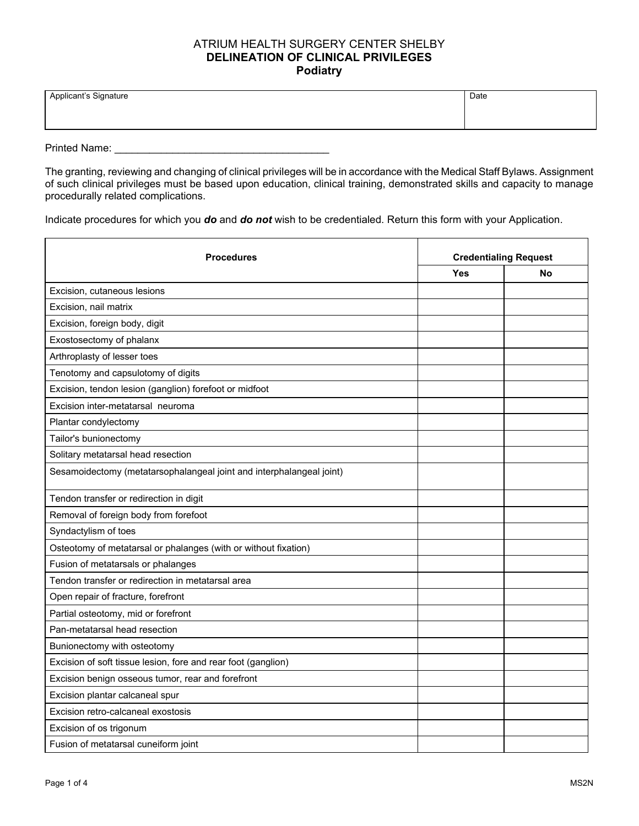## ATRIUM HEALTH SURGERY CENTER SHELBY **DELINEATION OF CLINICAL PRIVILEGES Podiatry**

| Applicant's Signature | Date |
|-----------------------|------|
|                       |      |
|                       |      |

Printed Name: \_\_\_\_\_\_\_\_\_\_\_\_\_\_\_\_\_\_\_\_\_\_\_\_\_\_\_\_\_\_\_\_\_\_\_\_\_

The granting, reviewing and changing of clinical privileges will be in accordance with the Medical Staff Bylaws. Assignment of such clinical privileges must be based upon education, clinical training, demonstrated skills and capacity to manage procedurally related complications.

Indicate procedures for which you *do* and *do not* wish to be credentialed. Return this form with your Application.

| <b>Procedures</b>                                                    | <b>Credentialing Request</b> |           |
|----------------------------------------------------------------------|------------------------------|-----------|
|                                                                      | <b>Yes</b>                   | <b>No</b> |
| Excision, cutaneous lesions                                          |                              |           |
| Excision, nail matrix                                                |                              |           |
| Excision, foreign body, digit                                        |                              |           |
| Exostosectomy of phalanx                                             |                              |           |
| Arthroplasty of lesser toes                                          |                              |           |
| Tenotomy and capsulotomy of digits                                   |                              |           |
| Excision, tendon lesion (ganglion) forefoot or midfoot               |                              |           |
| Excision inter-metatarsal neuroma                                    |                              |           |
| Plantar condylectomy                                                 |                              |           |
| Tailor's bunionectomy                                                |                              |           |
| Solitary metatarsal head resection                                   |                              |           |
| Sesamoidectomy (metatarsophalangeal joint and interphalangeal joint) |                              |           |
| Tendon transfer or redirection in digit                              |                              |           |
| Removal of foreign body from forefoot                                |                              |           |
| Syndactylism of toes                                                 |                              |           |
| Osteotomy of metatarsal or phalanges (with or without fixation)      |                              |           |
| Fusion of metatarsals or phalanges                                   |                              |           |
| Tendon transfer or redirection in metatarsal area                    |                              |           |
| Open repair of fracture, forefront                                   |                              |           |
| Partial osteotomy, mid or forefront                                  |                              |           |
| Pan-metatarsal head resection                                        |                              |           |
| Bunionectomy with osteotomy                                          |                              |           |
| Excision of soft tissue lesion, fore and rear foot (ganglion)        |                              |           |
| Excision benign osseous tumor, rear and forefront                    |                              |           |
| Excision plantar calcaneal spur                                      |                              |           |
| Excision retro-calcaneal exostosis                                   |                              |           |
| Excision of os trigonum                                              |                              |           |
| Fusion of metatarsal cuneiform joint                                 |                              |           |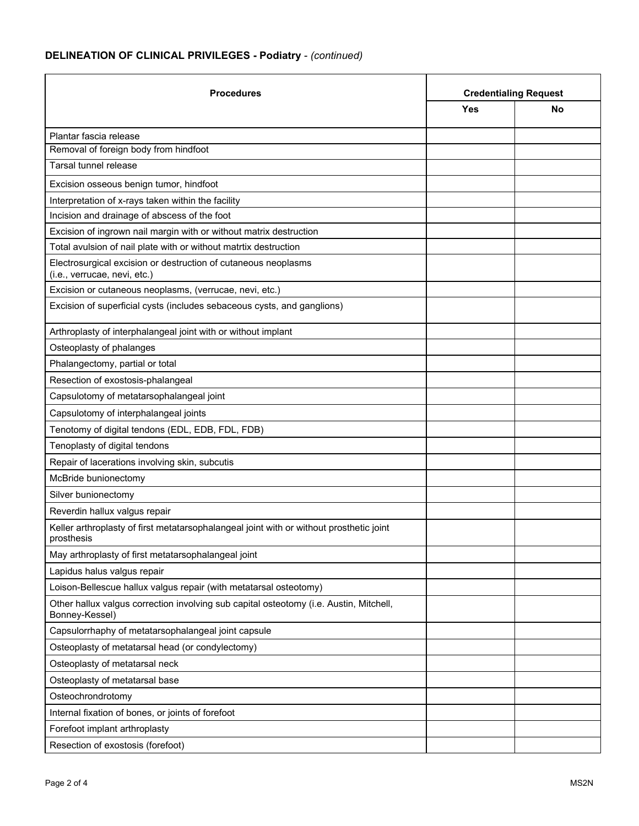## **DELINEATION OF CLINICAL PRIVILEGES - Podiatry** - *(continued)*

| <b>Procedures</b>                                                                                        | <b>Credentialing Request</b> |    |
|----------------------------------------------------------------------------------------------------------|------------------------------|----|
|                                                                                                          | Yes                          | No |
| Plantar fascia release                                                                                   |                              |    |
| Removal of foreign body from hindfoot                                                                    |                              |    |
| Tarsal tunnel release                                                                                    |                              |    |
| Excision osseous benign tumor, hindfoot                                                                  |                              |    |
| Interpretation of x-rays taken within the facility                                                       |                              |    |
| Incision and drainage of abscess of the foot                                                             |                              |    |
| Excision of ingrown nail margin with or without matrix destruction                                       |                              |    |
| Total avulsion of nail plate with or without matrtix destruction                                         |                              |    |
| Electrosurgical excision or destruction of cutaneous neoplasms<br>(i.e., verrucae, nevi, etc.)           |                              |    |
| Excision or cutaneous neoplasms, (verrucae, nevi, etc.)                                                  |                              |    |
| Excision of superficial cysts (includes sebaceous cysts, and ganglions)                                  |                              |    |
| Arthroplasty of interphalangeal joint with or without implant                                            |                              |    |
| Osteoplasty of phalanges                                                                                 |                              |    |
| Phalangectomy, partial or total                                                                          |                              |    |
| Resection of exostosis-phalangeal                                                                        |                              |    |
| Capsulotomy of metatarsophalangeal joint                                                                 |                              |    |
| Capsulotomy of interphalangeal joints                                                                    |                              |    |
| Tenotomy of digital tendons (EDL, EDB, FDL, FDB)                                                         |                              |    |
| Tenoplasty of digital tendons                                                                            |                              |    |
| Repair of lacerations involving skin, subcutis                                                           |                              |    |
| McBride bunionectomy                                                                                     |                              |    |
| Silver bunionectomy                                                                                      |                              |    |
| Reverdin hallux valgus repair                                                                            |                              |    |
| Keller arthroplasty of first metatarsophalangeal joint with or without prosthetic joint<br>prosthesis    |                              |    |
| May arthroplasty of first metatarsophalangeal joint                                                      |                              |    |
| Lapidus halus valgus repair                                                                              |                              |    |
| Loison-Bellescue hallux valgus repair (with metatarsal osteotomy)                                        |                              |    |
| Other hallux valgus correction involving sub capital osteotomy (i.e. Austin, Mitchell,<br>Bonney-Kessel) |                              |    |
| Capsulorrhaphy of metatarsophalangeal joint capsule                                                      |                              |    |
| Osteoplasty of metatarsal head (or condylectomy)                                                         |                              |    |
| Osteoplasty of metatarsal neck                                                                           |                              |    |
| Osteoplasty of metatarsal base                                                                           |                              |    |
| Osteochrondrotomy                                                                                        |                              |    |
| Internal fixation of bones, or joints of forefoot                                                        |                              |    |
| Forefoot implant arthroplasty                                                                            |                              |    |
| Resection of exostosis (forefoot)                                                                        |                              |    |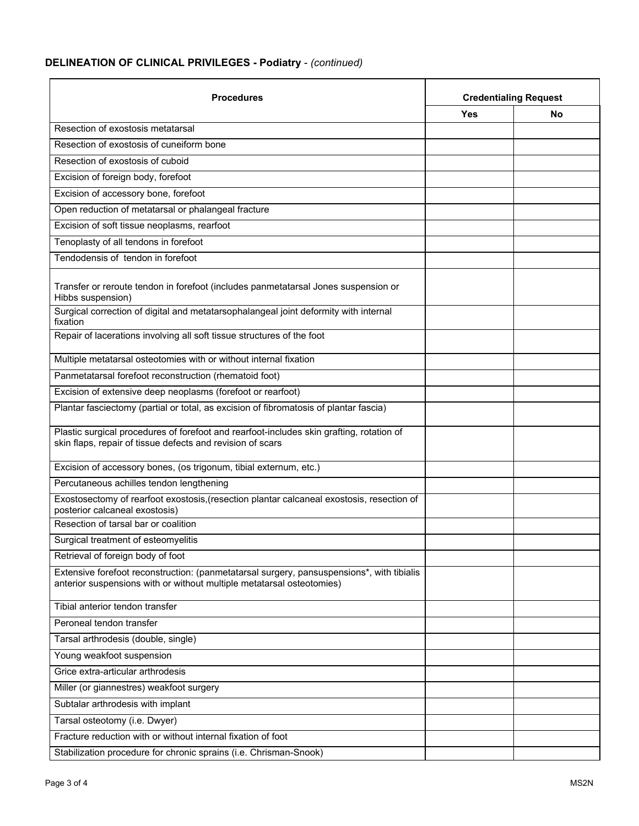## **DELINEATION OF CLINICAL PRIVILEGES - Podiatry** - *(continued)*

| <b>Procedures</b>                                                                                                                                                  | <b>Credentialing Request</b> |    |
|--------------------------------------------------------------------------------------------------------------------------------------------------------------------|------------------------------|----|
|                                                                                                                                                                    | <b>Yes</b>                   | No |
| Resection of exostosis metatarsal                                                                                                                                  |                              |    |
| Resection of exostosis of cuneiform bone                                                                                                                           |                              |    |
| Resection of exostosis of cuboid                                                                                                                                   |                              |    |
| Excision of foreign body, forefoot                                                                                                                                 |                              |    |
| Excision of accessory bone, forefoot                                                                                                                               |                              |    |
| Open reduction of metatarsal or phalangeal fracture                                                                                                                |                              |    |
| Excision of soft tissue neoplasms, rearfoot                                                                                                                        |                              |    |
| Tenoplasty of all tendons in forefoot                                                                                                                              |                              |    |
| Tendodensis of tendon in forefoot                                                                                                                                  |                              |    |
| Transfer or reroute tendon in forefoot (includes panmetatarsal Jones suspension or<br>Hibbs suspension)                                                            |                              |    |
| Surgical correction of digital and metatarsophalangeal joint deformity with internal<br>fixation                                                                   |                              |    |
| Repair of lacerations involving all soft tissue structures of the foot                                                                                             |                              |    |
| Multiple metatarsal osteotomies with or without internal fixation                                                                                                  |                              |    |
| Panmetatarsal forefoot reconstruction (rhematoid foot)                                                                                                             |                              |    |
| Excision of extensive deep neoplasms (forefoot or rearfoot)                                                                                                        |                              |    |
| Plantar fasciectomy (partial or total, as excision of fibromatosis of plantar fascia)                                                                              |                              |    |
| Plastic surgical procedures of forefoot and rearfoot-includes skin grafting, rotation of<br>skin flaps, repair of tissue defects and revision of scars             |                              |    |
| Excision of accessory bones, (os trigonum, tibial externum, etc.)                                                                                                  |                              |    |
| Percutaneous achilles tendon lengthening                                                                                                                           |                              |    |
| Exostosectomy of rearfoot exostosis, (resection plantar calcaneal exostosis, resection of<br>posterior calcaneal exostosis)                                        |                              |    |
| Resection of tarsal bar or coalition                                                                                                                               |                              |    |
| Surgical treatment of esteomyelitis                                                                                                                                |                              |    |
| Retrieval of foreign body of foot                                                                                                                                  |                              |    |
| Extensive forefoot reconstruction: (panmetatarsal surgery, pansuspensions*, with tibialis<br>anterior suspensions with or without multiple metatarsal osteotomies) |                              |    |
| Tibial anterior tendon transfer                                                                                                                                    |                              |    |
| Peroneal tendon transfer                                                                                                                                           |                              |    |
| Tarsal arthrodesis (double, single)                                                                                                                                |                              |    |
| Young weakfoot suspension                                                                                                                                          |                              |    |
| Grice extra-articular arthrodesis                                                                                                                                  |                              |    |
| Miller (or giannestres) weakfoot surgery                                                                                                                           |                              |    |
| Subtalar arthrodesis with implant                                                                                                                                  |                              |    |
| Tarsal osteotomy (i.e. Dwyer)                                                                                                                                      |                              |    |
| Fracture reduction with or without internal fixation of foot                                                                                                       |                              |    |
| Stabilization procedure for chronic sprains (i.e. Chrisman-Snook)                                                                                                  |                              |    |